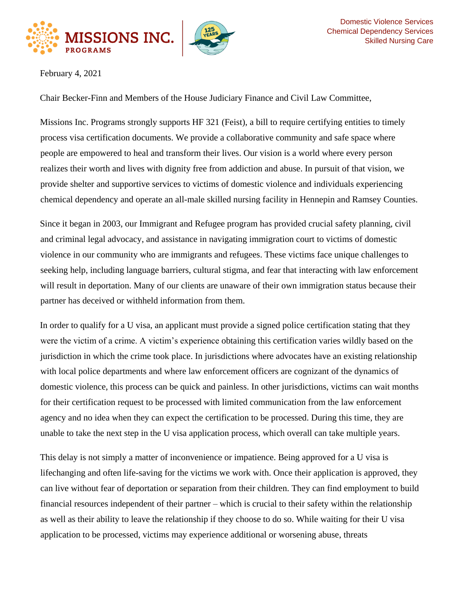



February 4, 2021

Chair Becker-Finn and Members of the House Judiciary Finance and Civil Law Committee,

Missions Inc. Programs strongly supports HF 321 (Feist), a bill to require certifying entities to timely process visa certification documents. We provide a collaborative community and safe space where people are empowered to heal and transform their lives. Our vision is a world where every person realizes their worth and lives with dignity free from addiction and abuse. In pursuit of that vision, we provide shelter and supportive services to victims of domestic violence and individuals experiencing chemical dependency and operate an all-male skilled nursing facility in Hennepin and Ramsey Counties.

Since it began in 2003, our Immigrant and Refugee program has provided crucial safety planning, civil and criminal legal advocacy, and assistance in navigating immigration court to victims of domestic violence in our community who are immigrants and refugees. These victims face unique challenges to seeking help, including language barriers, cultural stigma, and fear that interacting with law enforcement will result in deportation. Many of our clients are unaware of their own immigration status because their partner has deceived or withheld information from them.

In order to qualify for a U visa, an applicant must provide a signed police certification stating that they were the victim of a crime. A victim's experience obtaining this certification varies wildly based on the jurisdiction in which the crime took place. In jurisdictions where advocates have an existing relationship with local police departments and where law enforcement officers are cognizant of the dynamics of domestic violence, this process can be quick and painless. In other jurisdictions, victims can wait months for their certification request to be processed with limited communication from the law enforcement agency and no idea when they can expect the certification to be processed. During this time, they are unable to take the next step in the U visa application process, which overall can take multiple years.

This delay is not simply a matter of inconvenience or impatience. Being approved for a U visa is lifechanging and often life-saving for the victims we work with. Once their application is approved, they can live without fear of deportation or separation from their children. They can find employment to build financial resources independent of their partner – which is crucial to their safety within the relationship as well as their ability to leave the relationship if they choose to do so. While waiting for their U visa application to be processed, victims may experience additional or worsening abuse, threats